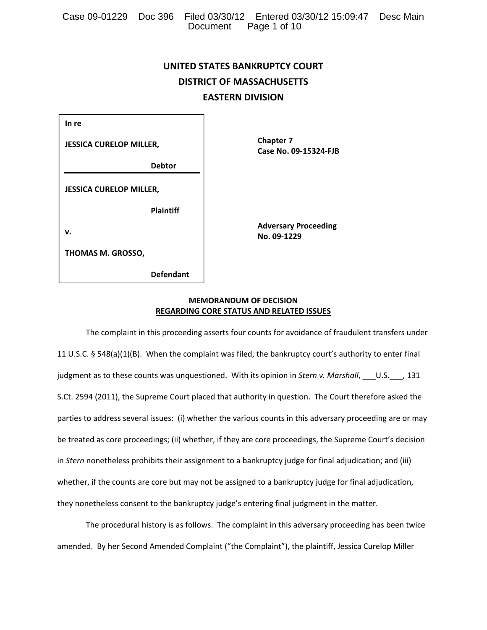|  |                       | Case 09-01229 Doc 396 Filed 03/30/12 Entered 03/30/12 15:09:47 Desc Main |  |
|--|-----------------------|--------------------------------------------------------------------------|--|
|  | Document Page 1 of 10 |                                                                          |  |

# **UNITED STATES BANKRUPTCY COURT DISTRICT OF MASSACHUSETTS EASTERN DIVISION**

| In re                          |  |  |  |  |
|--------------------------------|--|--|--|--|
| <b>JESSICA CURELOP MILLER,</b> |  |  |  |  |
| <b>Debtor</b>                  |  |  |  |  |
| <b>JESSICA CURELOP MILLER,</b> |  |  |  |  |
| <b>Plaintiff</b>               |  |  |  |  |
| v.                             |  |  |  |  |
| <b>THOMAS M. GROSSO,</b>       |  |  |  |  |

 **Defendant**

  **Chapter 7 Case No. 09‐15324‐FJB**

**Adversary Proceeding No. 09‐1229**

# **MEMORANDUM OF DECISION REGARDING CORE STATUS AND RELATED ISSUES**

The complaint in this proceeding asserts four counts for avoidance of fraudulent transfers under 11 U.S.C. § 548(a)(1)(B). When the complaint was filed, the bankruptcy court's authority to enter final judgment as to these counts was unquestioned. With its opinion in *Stern v. Marshall*, \_\_\_U.S.\_\_\_, 131 S.Ct. 2594 (2011), the Supreme Court placed that authority in question. The Court therefore asked the parties to address several issues: (i) whether the various counts in this adversary proceeding are or may be treated as core proceedings; (ii) whether, if they are core proceedings, the Supreme Court's decision in *Stern* nonetheless prohibits their assignment to a bankruptcy judge for final adjudication; and (iii) whether, if the counts are core but may not be assigned to a bankruptcy judge for final adjudication, they nonetheless consent to the bankruptcy judge's entering final judgment in the matter.

The procedural history is as follows. The complaint in this adversary proceeding has been twice amended. By her Second Amended Complaint ("the Complaint"), the plaintiff, Jessica Curelop Miller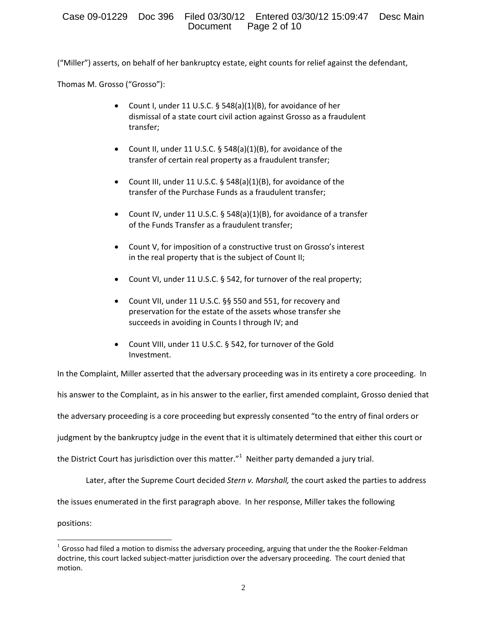("Miller") asserts, on behalf of her bankruptcy estate, eight counts for relief against the defendant,

Thomas M. Grosso ("Grosso"):

- Count I, under 11 U.S.C. § 548(a)(1)(B), for avoidance of her dismissal of a state court civil action against Grosso as a fraudulent transfer;
- Count II, under 11 U.S.C. § 548(a)(1)(B), for avoidance of the transfer of certain real property as a fraudulent transfer;
- Count III, under 11 U.S.C. § 548(a)(1)(B), for avoidance of the transfer of the Purchase Funds as a fraudulent transfer;
- Count IV, under 11 U.S.C. § 548(a)(1)(B), for avoidance of a transfer of the Funds Transfer as a fraudulent transfer;
- Count V, for imposition of a constructive trust on Grosso's interest in the real property that is the subject of Count II;
- Count VI, under 11 U.S.C. § 542, for turnover of the real property;
- Count VII, under 11 U.S.C. §§ 550 and 551, for recovery and preservation for the estate of the assets whose transfer she succeeds in avoiding in Counts I through IV; and
- Count VIII, under 11 U.S.C. § 542, for turnover of the Gold Investment.

In the Complaint, Miller asserted that the adversary proceeding was in its entirety a core proceeding. In

his answer to the Complaint, as in his answer to the earlier, first amended complaint, Grosso denied that

the adversary proceeding is a core proceeding but expressly consented "to the entry of final orders or

judgment by the bankruptcy judge in the event that it is ultimately determined that either this court or

the District Court has jurisdiction over this matter."<sup>1</sup> Neither party demanded a jury trial.

Later, after the Supreme Court decided *Stern v. Marshall,* the court asked the parties to address

the issues enumerated in the first paragraph above. In her response, Miller takes the following

positions:

 $1$  Grosso had filed a motion to dismiss the adversary proceeding, arguing that under the the Rooker-Feldman doctrine, this court lacked subject‐matter jurisdiction over the adversary proceeding. The court denied that motion.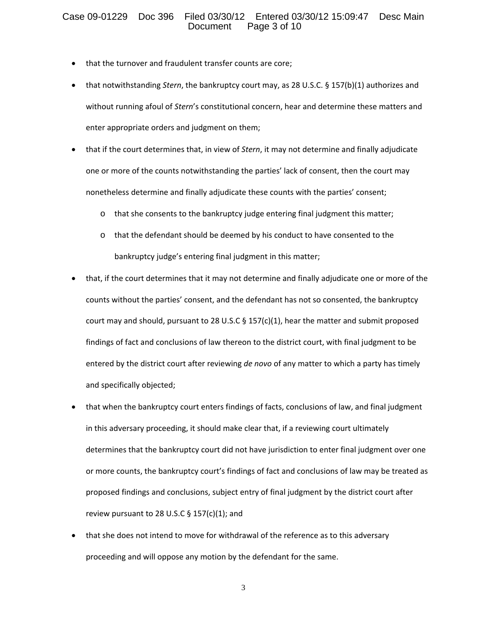# Case 09-01229 Doc 396 Filed 03/30/12 Entered 03/30/12 15:09:47 Desc Main Page 3 of 10

- that the turnover and fraudulent transfer counts are core;
- that notwithstanding *Stern*, the bankruptcy court may, as 28 U.S.C. § 157(b)(1) authorizes and without running afoul of *Stern*'s constitutional concern, hear and determine these matters and enter appropriate orders and judgment on them;
- that if the court determines that, in view of *Stern*, it may not determine and finally adjudicate one or more of the counts notwithstanding the parties' lack of consent, then the court may nonetheless determine and finally adjudicate these counts with the parties' consent;
	- o that she consents to the bankruptcy judge entering final judgment this matter;
	- o that the defendant should be deemed by his conduct to have consented to the bankruptcy judge's entering final judgment in this matter;
- that, if the court determines that it may not determine and finally adjudicate one or more of the counts without the parties' consent, and the defendant has not so consented, the bankruptcy court may and should, pursuant to 28 U.S.C  $\S$  157(c)(1), hear the matter and submit proposed findings of fact and conclusions of law thereon to the district court, with final judgment to be entered by the district court after reviewing *de novo* of any matter to which a party has timely and specifically objected;
- that when the bankruptcy court enters findings of facts, conclusions of law, and final judgment in this adversary proceeding, it should make clear that, if a reviewing court ultimately determines that the bankruptcy court did not have jurisdiction to enter final judgment over one or more counts, the bankruptcy court's findings of fact and conclusions of law may be treated as proposed findings and conclusions, subject entry of final judgment by the district court after review pursuant to 28 U.S.C  $\S$  157(c)(1); and
- that she does not intend to move for withdrawal of the reference as to this adversary proceeding and will oppose any motion by the defendant for the same.

3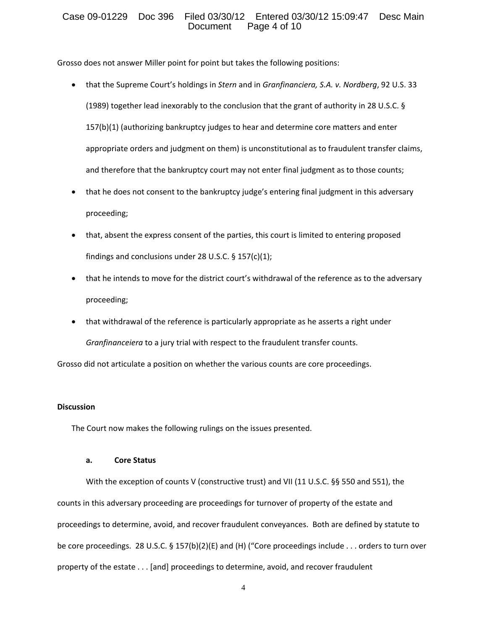# Case 09-01229 Doc 396 Filed 03/30/12 Entered 03/30/12 15:09:47 Desc Main Page 4 of 10

Grosso does not answer Miller point for point but takes the following positions:

- that the Supreme Court's holdings in *Stern* and in *Granfinanciera, S.A. v. Nordberg*, 92 U.S. 33 (1989) together lead inexorably to the conclusion that the grant of authority in 28 U.S.C. § 157(b)(1) (authorizing bankruptcy judges to hear and determine core matters and enter appropriate orders and judgment on them) is unconstitutional as to fraudulent transfer claims, and therefore that the bankruptcy court may not enter final judgment as to those counts;
- that he does not consent to the bankruptcy judge's entering final judgment in this adversary proceeding;
- that, absent the express consent of the parties, this court is limited to entering proposed findings and conclusions under 28 U.S.C.  $\S$  157(c)(1);
- that he intends to move for the district court's withdrawal of the reference as to the adversary proceeding;
- that withdrawal of the reference is particularly appropriate as he asserts a right under *Granfinanceiera* to a jury trial with respect to the fraudulent transfer counts.

Grosso did not articulate a position on whether the various counts are core proceedings.

## **Discussion**

The Court now makes the following rulings on the issues presented.

## **a. Core Status**

With the exception of counts V (constructive trust) and VII (11 U.S.C. §§ 550 and 551), the counts in this adversary proceeding are proceedings for turnover of property of the estate and proceedings to determine, avoid, and recover fraudulent conveyances. Both are defined by statute to be core proceedings. 28 U.S.C. § 157(b)(2)(E) and (H) ("Core proceedings include . . . orders to turn over property of the estate . . . [and] proceedings to determine, avoid, and recover fraudulent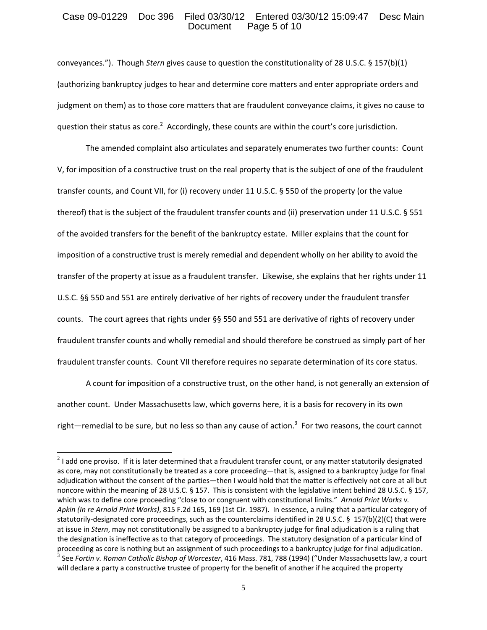# Case 09-01229 Doc 396 Filed 03/30/12 Entered 03/30/12 15:09:47 Desc Main Page 5 of 10

conveyances."). Though *Stern* gives cause to question the constitutionality of 28 U.S.C. § 157(b)(1) (authorizing bankruptcy judges to hear and determine core matters and enter appropriate orders and judgment on them) as to those core matters that are fraudulent conveyance claims, it gives no cause to question their status as core.<sup>2</sup> Accordingly, these counts are within the court's core jurisdiction.

The amended complaint also articulates and separately enumerates two further counts: Count V, for imposition of a constructive trust on the real property that is the subject of one of the fraudulent transfer counts, and Count VII, for (i) recovery under 11 U.S.C. § 550 of the property (or the value thereof) that is the subject of the fraudulent transfer counts and (ii) preservation under 11 U.S.C. § 551 of the avoided transfers for the benefit of the bankruptcy estate. Miller explains that the count for imposition of a constructive trust is merely remedial and dependent wholly on her ability to avoid the transfer of the property at issue as a fraudulent transfer. Likewise, she explains that her rights under 11 U.S.C. §§ 550 and 551 are entirely derivative of her rights of recovery under the fraudulent transfer counts. The court agrees that rights under §§ 550 and 551 are derivative of rights of recovery under fraudulent transfer counts and wholly remedial and should therefore be construed as simply part of her fraudulent transfer counts. Count VII therefore requires no separate determination of its core status.

A count for imposition of a constructive trust, on the other hand, is not generally an extension of another count. Under Massachusetts law, which governs here, it is a basis for recovery in its own right—remedial to be sure, but no less so than any cause of action.<sup>3</sup> For two reasons, the court cannot

 $2$  I add one proviso. If it is later determined that a fraudulent transfer count, or any matter statutorily designated as core, may not constitutionally be treated as a core proceeding—that is, assigned to a bankruptcy judge for final adjudication without the consent of the parties—then I would hold that the matter is effectively not core at all but noncore within the meaning of 28 U.S.C. § 157. This is consistent with the legislative intent behind 28 U.S.C. § 157, which was to define core proceeding "close to or congruent with constitutional limits." *Arnold Print Works v. Apkin (In re Arnold Print Works)*, 815 F.2d 165, 169 (1st Cir. 1987). In essence, a ruling that a particular category of statutorily-designated core proceedings, such as the counterclaims identified in 28 U.S.C. § 157(b)(2)(C) that were at issue in *Stern*, may not constitutionally be assigned to a bankruptcy judge for final adjudication is a ruling that the designation is ineffective as to that category of proceedings. The statutory designation of a particular kind of proceeding as core is nothing but an assignment of such proceedings to a bankruptcy judge for final adjudication.<br><sup>3</sup> See Fortin v. Roman Catholic Bishop of Worcester, 416 Mass. 781, 788 (1994) ("Under Massachusetts law, a will declare a party a constructive trustee of property for the benefit of another if he acquired the property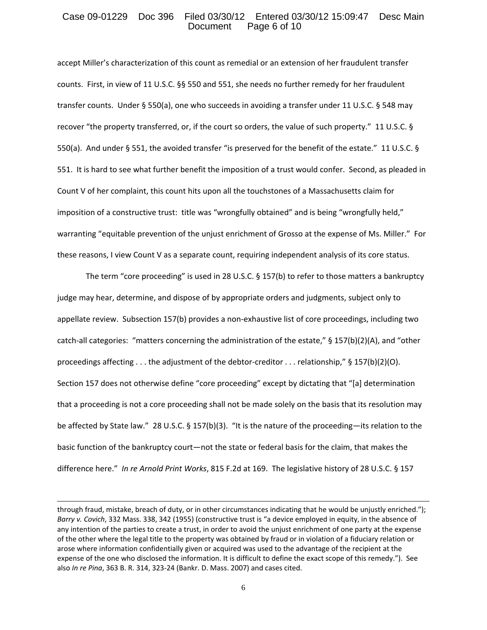# Case 09-01229 Doc 396 Filed 03/30/12 Entered 03/30/12 15:09:47 Desc Main Page 6 of 10

accept Miller's characterization of this count as remedial or an extension of her fraudulent transfer counts. First, in view of 11 U.S.C. §§ 550 and 551, she needs no further remedy for her fraudulent transfer counts. Under § 550(a), one who succeeds in avoiding a transfer under 11 U.S.C. § 548 may recover "the property transferred, or, if the court so orders, the value of such property." 11 U.S.C. § 550(a). And under § 551, the avoided transfer "is preserved for the benefit of the estate." 11 U.S.C. § 551. It is hard to see what further benefit the imposition of a trust would confer. Second, as pleaded in Count V of her complaint, this count hits upon all the touchstones of a Massachusetts claim for imposition of a constructive trust: title was "wrongfully obtained" and is being "wrongfully held," warranting "equitable prevention of the unjust enrichment of Grosso at the expense of Ms. Miller." For these reasons, I view Count V as a separate count, requiring independent analysis of its core status.

The term "core proceeding" is used in 28 U.S.C. § 157(b) to refer to those matters a bankruptcy judge may hear, determine, and dispose of by appropriate orders and judgments, subject only to appellate review. Subsection 157(b) provides a non-exhaustive list of core proceedings, including two catch-all categories: "matters concerning the administration of the estate," § 157(b)(2)(A), and "other proceedings affecting . . . the adjustment of the debtor-creditor . . . relationship," § 157(b)(2)(O). Section 157 does not otherwise define "core proceeding" except by dictating that "[a] determination that a proceeding is not a core proceeding shall not be made solely on the basis that its resolution may be affected by State law." 28 U.S.C. § 157(b)(3). "It is the nature of the proceeding—its relation to the basic function of the bankruptcy court—not the state or federal basis for the claim, that makes the difference here." *In re Arnold Print Works*, 815 F.2d at 169. The legislative history of 28 U.S.C. § 157

through fraud, mistake, breach of duty, or in other circumstances indicating that he would be unjustly enriched."); *Barry v. Covich*, 332 Mass. 338, 342 (1955) (constructive trust is "a device employed in equity, in the absence of any intention of the parties to create a trust, in order to avoid the unjust enrichment of one party at the expense of the other where the legal title to the property was obtained by fraud or in violation of a fiduciary relation or arose where information confidentially given or acquired was used to the advantage of the recipient at the expense of the one who disclosed the information. It is difficult to define the exact scope of this remedy."). See also *In re Pina*, 363 B. R. 314, 323‐24 (Bankr. D. Mass. 2007) and cases cited.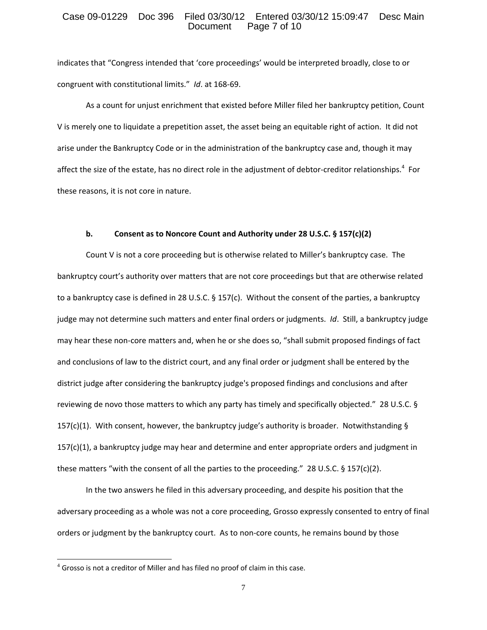#### Case 09-01229 Doc 396 Filed 03/30/12 Entered 03/30/12 15:09:47 Desc Main<br>Document Page 7 of 10 Page 7 of 10

indicates that "Congress intended that 'core proceedings' would be interpreted broadly, close to or congruent with constitutional limits." *Id*. at 168‐69.

As a count for unjust enrichment that existed before Miller filed her bankruptcy petition, Count V is merely one to liquidate a prepetition asset, the asset being an equitable right of action. It did not arise under the Bankruptcy Code or in the administration of the bankruptcy case and, though it may affect the size of the estate, has no direct role in the adjustment of debtor-creditor relationships.<sup>4</sup> For these reasons, it is not core in nature.

#### **b. Consent as to Noncore Count and Authority under 28 U.S.C. § 157(c)(2)**

Count V is not a core proceeding but is otherwise related to Miller's bankruptcy case. The bankruptcy court's authority over matters that are not core proceedings but that are otherwise related to a bankruptcy case is defined in 28 U.S.C. § 157(c). Without the consent of the parties, a bankruptcy judge may not determine such matters and enter final orders or judgments. *Id*. Still, a bankruptcy judge may hear these non‐core matters and, when he or she does so, "shall submit proposed findings of fact and conclusions of law to the district court, and any final order or judgment shall be entered by the district judge after considering the bankruptcy judge's proposed findings and conclusions and after reviewing de novo those matters to which any party has timely and specifically objected." 28 U.S.C. § 157(c)(1). With consent, however, the bankruptcy judge's authority is broader. Notwithstanding § 157(c)(1), a bankruptcy judge may hear and determine and enter appropriate orders and judgment in these matters "with the consent of all the parties to the proceeding." 28 U.S.C.  $\S$  157(c)(2).

In the two answers he filed in this adversary proceeding, and despite his position that the adversary proceeding as a whole was not a core proceeding, Grosso expressly consented to entry of final orders or judgment by the bankruptcy court. As to non-core counts, he remains bound by those

 $4$  Grosso is not a creditor of Miller and has filed no proof of claim in this case.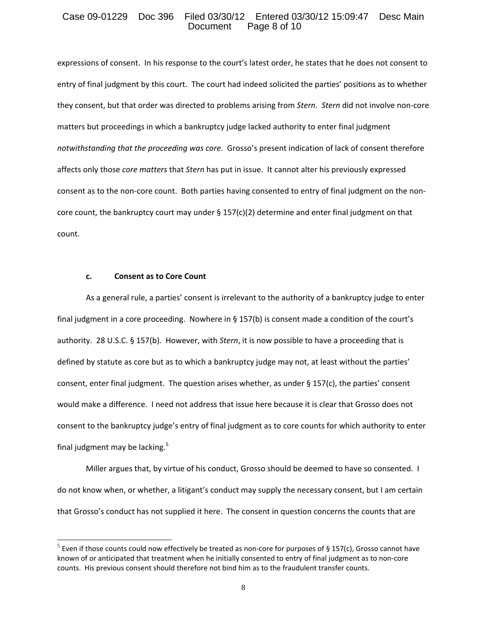## Case 09-01229 Doc 396 Filed 03/30/12 Entered 03/30/12 15:09:47 Desc Main Page 8 of 10

expressions of consent. In his response to the court's latest order, he states that he does not consent to entry of final judgment by this court. The court had indeed solicited the parties' positions as to whether they consent, but that order was directed to problems arising from *Stern*. *Stern* did not involve non‐core matters but proceedings in which a bankruptcy judge lacked authority to enter final judgment *notwithstanding that the proceeding was core*. Grosso's present indication of lack of consent therefore affects only those *core matters* that *Stern* has put in issue. It cannot alter his previously expressed consent as to the non-core count. Both parties having consented to entry of final judgment on the noncore count, the bankruptcy court may under  $\S 157(c)(2)$  determine and enter final judgment on that count.

#### **c. Consent as to Core Count**

 $\overline{a}$ 

As a general rule, a parties' consent is irrelevant to the authority of a bankruptcy judge to enter final judgment in a core proceeding. Nowhere in § 157(b) is consent made a condition of the court's authority. 28 U.S.C. § 157(b). However, with *Stern*, it is now possible to have a proceeding that is defined by statute as core but as to which a bankruptcy judge may not, at least without the parties' consent, enter final judgment. The question arises whether, as under § 157(c), the parties' consent would make a difference. I need not address that issue here because it is clear that Grosso does not consent to the bankruptcy judge's entry of final judgment as to core counts for which authority to enter final judgment may be lacking.<sup>5</sup>

Miller argues that, by virtue of his conduct, Grosso should be deemed to have so consented. I do not know when, or whether, a litigant's conduct may supply the necessary consent, but I am certain that Grosso's conduct has not supplied it here. The consent in question concerns the counts that are

 $5$  Even if those counts could now effectively be treated as non-core for purposes of § 157(c), Grosso cannot have known of or anticipated that treatment when he initially consented to entry of final judgment as to non-core counts. His previous consent should therefore not bind him as to the fraudulent transfer counts.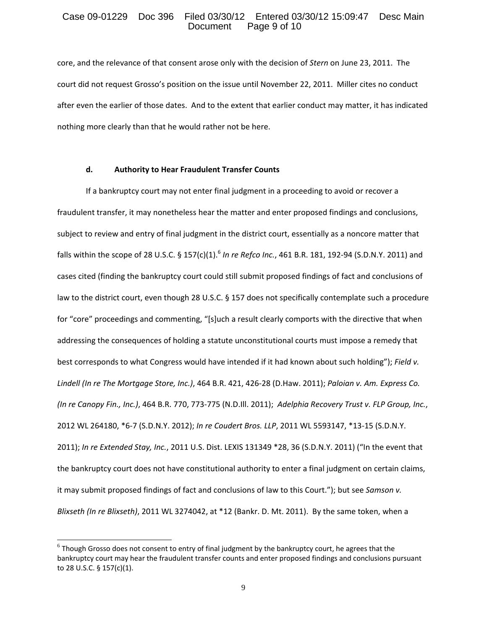## Case 09-01229 Doc 396 Filed 03/30/12 Entered 03/30/12 15:09:47 Desc Main Page 9 of 10

core, and the relevance of that consent arose only with the decision of *Stern* on June 23, 2011. The court did not request Grosso's position on the issue until November 22, 2011. Miller cites no conduct after even the earlier of those dates. And to the extent that earlier conduct may matter, it has indicated nothing more clearly than that he would rather not be here.

#### **d. Authority to Hear Fraudulent Transfer Counts**

If a bankruptcy court may not enter final judgment in a proceeding to avoid or recover a fraudulent transfer, it may nonetheless hear the matter and enter proposed findings and conclusions, subject to review and entry of final judgment in the district court, essentially as a noncore matter that falls within the scope of 28 U.S.C. § 157(c)(1).<sup>6</sup> *In re Refco Inc.*, 461 B.R. 181, 192‐94 (S.D.N.Y. 2011) and cases cited (finding the bankruptcy court could still submit proposed findings of fact and conclusions of law to the district court, even though 28 U.S.C. § 157 does not specifically contemplate such a procedure for "core" proceedings and commenting, "[s]uch a result clearly comports with the directive that when addressing the consequences of holding a statute unconstitutional courts must impose a remedy that best corresponds to what Congress would have intended if it had known about such holding"); *Field v. Lindell (In re The Mortgage Store, Inc.)*, 464 B.R. 421, 426‐28 (D.Haw. 2011); *Paloian v. Am. Express Co. (In re Canopy Fin., Inc.)*, 464 B.R. 770, 773‐775 (N.D.Ill. 2011); *Adelphia Recovery Trust v. FLP Group, Inc.*, 2012 WL 264180, \*6‐7 (S.D.N.Y. 2012); *In re Coudert Bros. LLP*, 2011 WL 5593147, \*13‐15 (S.D.N.Y. 2011); *In re Extended Stay, Inc.*, 2011 U.S. Dist. LEXIS 131349 \*28, 36 (S.D.N.Y. 2011) ("In the event that the bankruptcy court does not have constitutional authority to enter a final judgment on certain claims, it may submit proposed findings of fact and conclusions of law to this Court."); but see *Samson v. Blixseth (In re Blixseth)*, 2011 WL 3274042, at \*12 (Bankr. D. Mt. 2011). By the same token, when a

 $6$  Though Grosso does not consent to entry of final judgment by the bankruptcy court, he agrees that the bankruptcy court may hear the fraudulent transfer counts and enter proposed findings and conclusions pursuant to 28 U.S.C. § 157(c)(1).